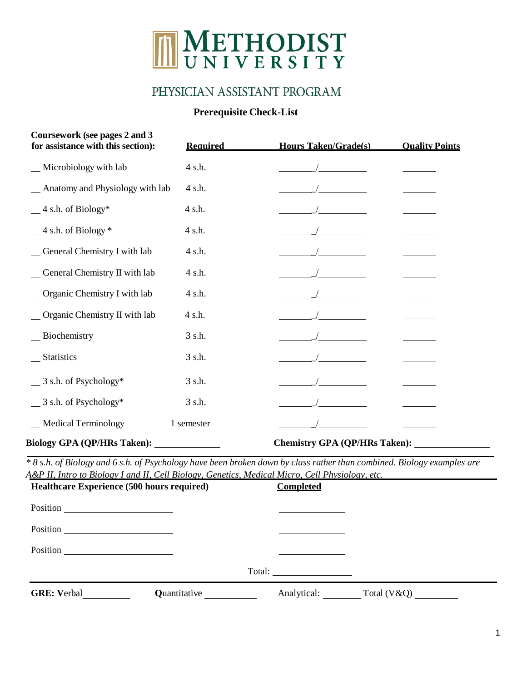# METHODIST UNIVERSITY

## PHYSICIAN ASSISTANT PROGRAM

### **Prerequisite Check-List**

| Coursework (see pages 2 and 3<br>for assistance with this section):                                                                                                                                                      | <b>Required</b> | <b>Hours Taken/Grade(s)</b>          | <b>Ouality Points</b> |
|--------------------------------------------------------------------------------------------------------------------------------------------------------------------------------------------------------------------------|-----------------|--------------------------------------|-----------------------|
| _Microbiology with lab                                                                                                                                                                                                   | 4 s.h.          |                                      |                       |
| Anatomy and Physiology with lab                                                                                                                                                                                          | 4 s.h.          |                                      |                       |
| $-4$ s.h. of Biology*                                                                                                                                                                                                    | 4 s.h.          |                                      |                       |
| $-4$ s.h. of Biology $*$                                                                                                                                                                                                 | 4 s.h.          |                                      |                       |
| General Chemistry I with lab                                                                                                                                                                                             | 4 s.h.          |                                      |                       |
| _General Chemistry II with lab                                                                                                                                                                                           | 4 s.h.          |                                      |                       |
| _Organic Chemistry I with lab                                                                                                                                                                                            | 4 s.h.          |                                      |                       |
| _ Organic Chemistry II with lab                                                                                                                                                                                          | 4 s.h.          |                                      |                       |
| _Biochemistry                                                                                                                                                                                                            | 3 s.h.          |                                      |                       |
| __ Statistics                                                                                                                                                                                                            | 3 s.h.          |                                      |                       |
| $\frac{3 \text{ s.h. of Psychology}}{4}$                                                                                                                                                                                 | 3 s.h.          |                                      |                       |
| $\frac{3 \text{ s.h. of Psychology}}{4}$                                                                                                                                                                                 | 3 s.h.          |                                      |                       |
| _Medical Terminology                                                                                                                                                                                                     | 1 semester      |                                      |                       |
| Biology GPA (QP/HRs Taken): _____________                                                                                                                                                                                |                 | <b>Chemistry GPA (QP/HRs Taken):</b> |                       |
| *8 s.h. of Biology and 6 s.h. of Psychology have been broken down by class rather than combined. Biology examples are<br>A&P II, Intro to Biology I and II, Cell Biology, Genetics, Medical Micro, Cell Physiology, etc. |                 |                                      |                       |
| Healthcare Experience (500 hours required)                                                                                                                                                                               |                 | <b>Completed</b>                     |                       |
| Position<br><u> 1986 - Jan Samuel Barbara, política establece</u>                                                                                                                                                        |                 |                                      |                       |
| Position                                                                                                                                                                                                                 |                 |                                      |                       |
| <b>Position</b>                                                                                                                                                                                                          |                 |                                      |                       |
|                                                                                                                                                                                                                          |                 | Total:                               |                       |
| <b>GRE: Verbal</b>                                                                                                                                                                                                       | Quantitative    | Analytical:                          | Total (V&Q)           |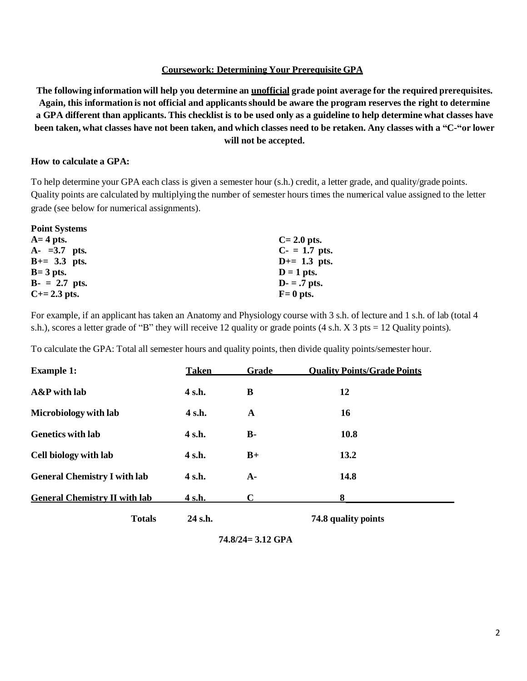#### **Coursework: Determining Your Prerequisite GPA**

The following information will help you determine an unofficial grade point average for the required prerequisites. Again, this information is not official and applicants should be aware the program reserves the right to determine a GPA different than applicants. This checklist is to be used only as a guideline to help determine what classes have been taken, what classes have not been taken, and which classes need to be retaken. Any classes with a "C-"or lower **will not be accepted.**

#### **How to calculate a GPA:**

To help determine your GPA each class is given a semester hour (s.h.) credit, a letter grade, and quality/grade points. Quality points are calculated by multiplying the number of semester hours times the numerical value assigned to the letter grade (see below for numerical assignments).

| <b>Point Systems</b> |                |
|----------------------|----------------|
| $A=4$ pts.           | $C = 2.0$ pts. |
| $A - 3.7$ pts.       | $C - 1.7$ pts. |
| $B+=3.3$ pts.        | $D+=1.3$ pts.  |
| $B = 3$ pts.         | $D = 1$ pts.   |
| $B - = 2.7$ pts.     | $D - 7$ pts.   |
| $C+=2.3$ pts.        | $F = 0$ pts.   |

For example, if an applicant has taken an Anatomy and Physiology course with 3 s.h. of lecture and 1 s.h. of lab (total 4 s.h.), scores a letter grade of "B" they will receive 12 quality or grade points (4 s.h. X 3 pts = 12 Quality points).

To calculate the GPA: Total all semester hours and quality points, then divide quality points/semester hour.

| <b>Example 1:</b>                    | <b>Taken</b> | <b>Grade</b> | <b>Ouality Points/Grade Points</b> |
|--------------------------------------|--------------|--------------|------------------------------------|
| A&P with lab                         | 4 s.h.       | B            | 12                                 |
| Microbiology with lab                | 4 s.h.       | A            | 16                                 |
| <b>Genetics with lab</b>             | 4 s.h.       | <b>B-</b>    | 10.8                               |
| Cell biology with lab                | 4 s.h.       | $B+$         | 13.2                               |
| <b>General Chemistry I with lab</b>  | 4 s.h.       | $A-$         | 14.8                               |
| <b>General Chemistry II with lab</b> | 4 s.h.       | $\mathbf C$  | 8                                  |
| <b>Totals</b>                        | 24 s.h.      |              | 74.8 quality points                |

**<sup>74.8/24=</sup> 3.12 GPA**